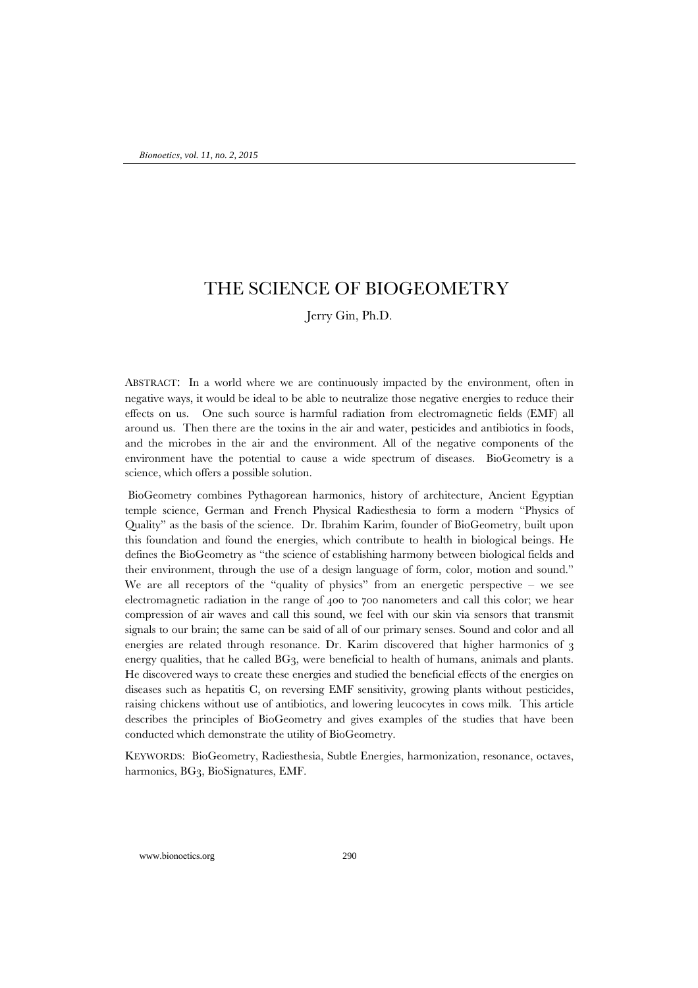## THE SCIENCE OF BIOGEOMETRY

### Jerry Gin, Ph.D.

ABSTRACT: In a world where we are continuously impacted by the environment, often in negative ways, it would be ideal to be able to neutralize those negative energies to reduce their effects on us. One such source is harmful radiation from electromagnetic fields (EMF) all around us. Then there are the toxins in the air and water, pesticides and antibiotics in foods, and the microbes in the air and the environment. All of the negative components of the environment have the potential to cause a wide spectrum of diseases. BioGeometry is a science, which offers a possible solution.

BioGeometry combines Pythagorean harmonics, history of architecture, Ancient Egyptian temple science, German and French Physical Radiesthesia to form a modern "Physics of Quality" as the basis of the science. Dr. Ibrahim Karim, founder of BioGeometry, built upon this foundation and found the energies, which contribute to health in biological beings. He defines the BioGeometry as "the science of establishing harmony between biological fields and their environment, through the use of a design language of form, color, motion and sound." We are all receptors of the "quality of physics" from an energetic perspective – we see electromagnetic radiation in the range of 400 to 700 nanometers and call this color; we hear compression of air waves and call this sound, we feel with our skin via sensors that transmit signals to our brain; the same can be said of all of our primary senses. Sound and color and all energies are related through resonance. Dr. Karim discovered that higher harmonics of 3 energy qualities, that he called BG3, were beneficial to health of humans, animals and plants. He discovered ways to create these energies and studied the beneficial effects of the energies on diseases such as hepatitis C, on reversing EMF sensitivity, growing plants without pesticides, raising chickens without use of antibiotics, and lowering leucocytes in cows milk. This article describes the principles of BioGeometry and gives examples of the studies that have been conducted which demonstrate the utility of BioGeometry.

KEYWORDS: BioGeometry, Radiesthesia, Subtle Energies, harmonization, resonance, octaves, harmonics, BG3, BioSignatures, EMF.

www.bionoetics.org 290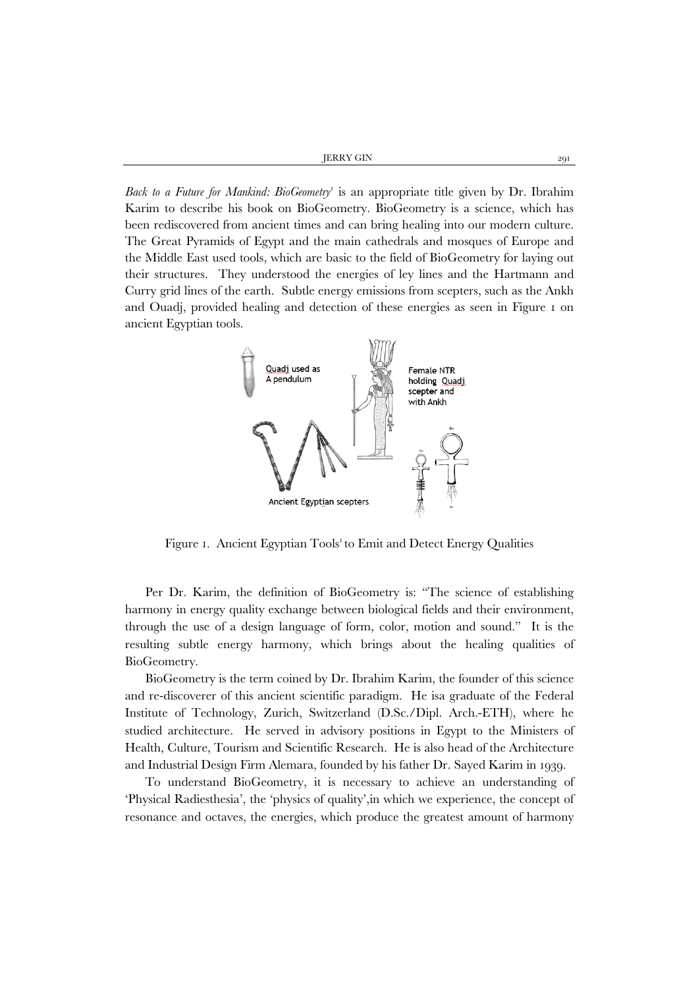JERRY GIN 291

*Back to a Future for Mankind: BioGeometry*<sup>1</sup> is an appropriate title given by Dr. Ibrahim Karim to describe his book on BioGeometry. BioGeometry is a science, which has been rediscovered from ancient times and can bring healing into our modern culture. The Great Pyramids of Egypt and the main cathedrals and mosques of Europe and the Middle East used tools, which are basic to the field of BioGeometry for laying out their structures. They understood the energies of ley lines and the Hartmann and Curry grid lines of the earth. Subtle energy emissions from scepters, such as the Ankh and Ouadj, provided healing and detection of these energies as seen in Figure 1 on ancient Egyptian tools.



Figure 1. Ancient Egyptian Tools<sup>1</sup> to Emit and Detect Energy Qualities

Per Dr. Karim, the definition of BioGeometry is: "The science of establishing harmony in energy quality exchange between biological fields and their environment, through the use of a design language of form, color, motion and sound." It is the resulting subtle energy harmony, which brings about the healing qualities of BioGeometry.

BioGeometry is the term coined by Dr. Ibrahim Karim, the founder of this science and re-discoverer of this ancient scientific paradigm. He isa graduate of the Federal Institute of Technology, Zurich, Switzerland (D.Sc./Dipl. Arch.-ETH), where he studied architecture. He served in advisory positions in Egypt to the Ministers of Health, Culture, Tourism and Scientific Research. He is also head of the Architecture and Industrial Design Firm Alemara, founded by his father Dr. Sayed Karim in 1939.

To understand BioGeometry, it is necessary to achieve an understanding of 'Physical Radiesthesia', the 'physics of quality',in which we experience, the concept of resonance and octaves, the energies, which produce the greatest amount of harmony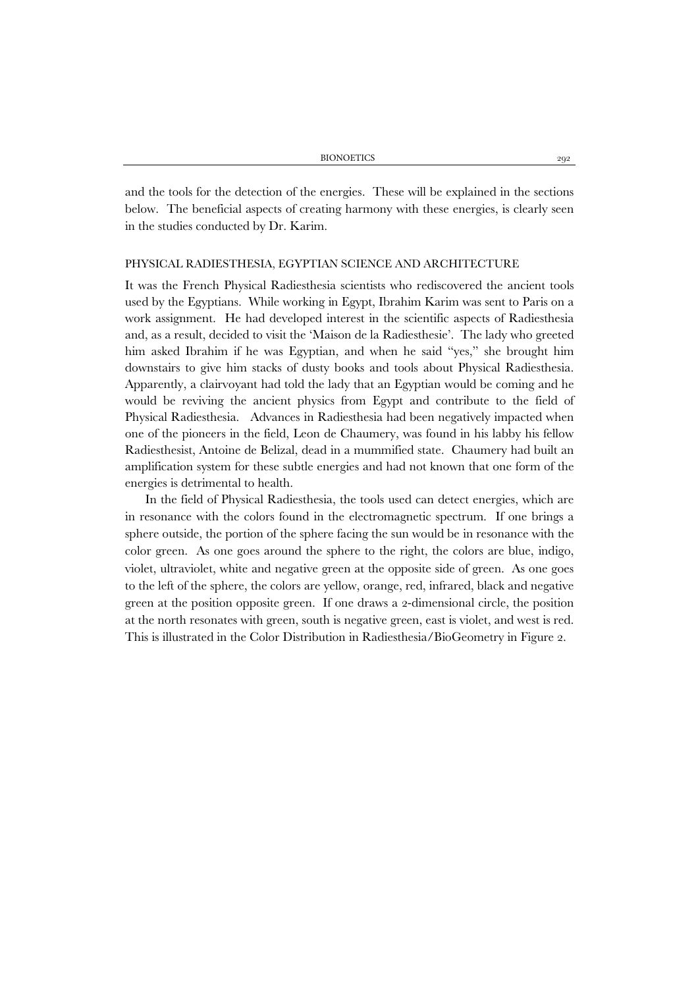and the tools for the detection of the energies. These will be explained in the sections below. The beneficial aspects of creating harmony with these energies, is clearly seen in the studies conducted by Dr. Karim.

#### PHYSICAL RADIESTHESIA, EGYPTIAN SCIENCE AND ARCHITECTURE

It was the French Physical Radiesthesia scientists who rediscovered the ancient tools used by the Egyptians. While working in Egypt, Ibrahim Karim was sent to Paris on a work assignment. He had developed interest in the scientific aspects of Radiesthesia and, as a result, decided to visit the 'Maison de la Radiesthesie'. The lady who greeted him asked Ibrahim if he was Egyptian, and when he said "yes," she brought him downstairs to give him stacks of dusty books and tools about Physical Radiesthesia. Apparently, a clairvoyant had told the lady that an Egyptian would be coming and he would be reviving the ancient physics from Egypt and contribute to the field of Physical Radiesthesia. Advances in Radiesthesia had been negatively impacted when one of the pioneers in the field, Leon de Chaumery, was found in his labby his fellow Radiesthesist, Antoine de Belizal, dead in a mummified state. Chaumery had built an amplification system for these subtle energies and had not known that one form of the energies is detrimental to health.

In the field of Physical Radiesthesia, the tools used can detect energies, which are in resonance with the colors found in the electromagnetic spectrum. If one brings a sphere outside, the portion of the sphere facing the sun would be in resonance with the color green. As one goes around the sphere to the right, the colors are blue, indigo, violet, ultraviolet, white and negative green at the opposite side of green. As one goes to the left of the sphere, the colors are yellow, orange, red, infrared, black and negative green at the position opposite green. If one draws a 2-dimensional circle, the position at the north resonates with green, south is negative green, east is violet, and west is red. This is illustrated in the Color Distribution in Radiesthesia/BioGeometry in Figure 2.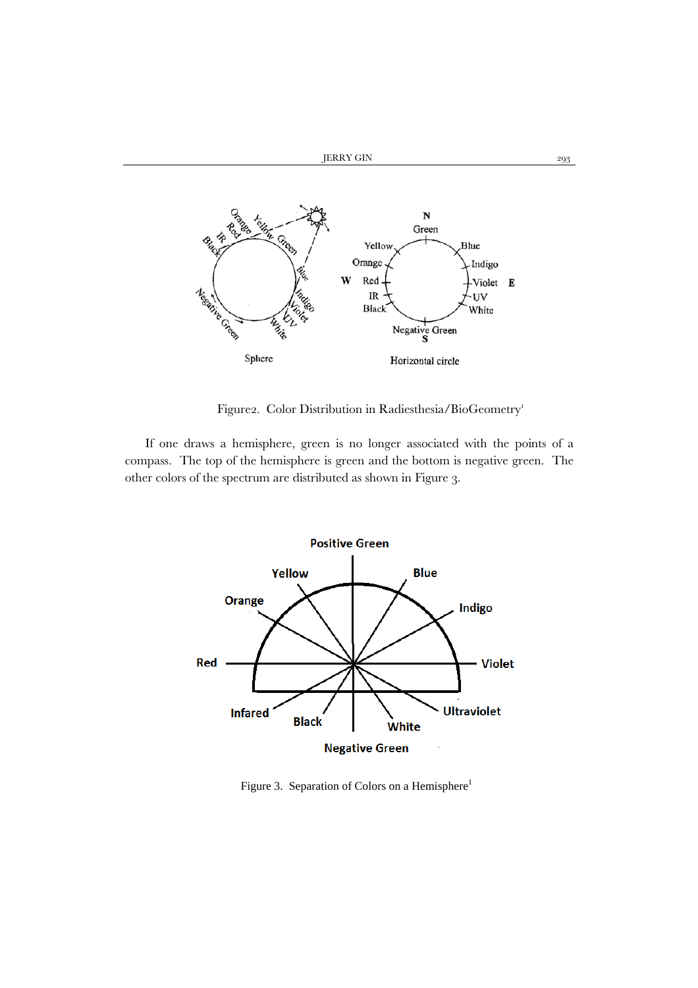

Figure2. Color Distribution in Radiesthesia/BioGeometry<sup>1</sup>

If one draws a hemisphere, green is no longer associated with the points of a compass. The top of the hemisphere is green and the bottom is negative green. The other colors of the spectrum are distributed as shown in Figure 3.



Figure 3. Separation of Colors on a Hemisphere<sup>1</sup>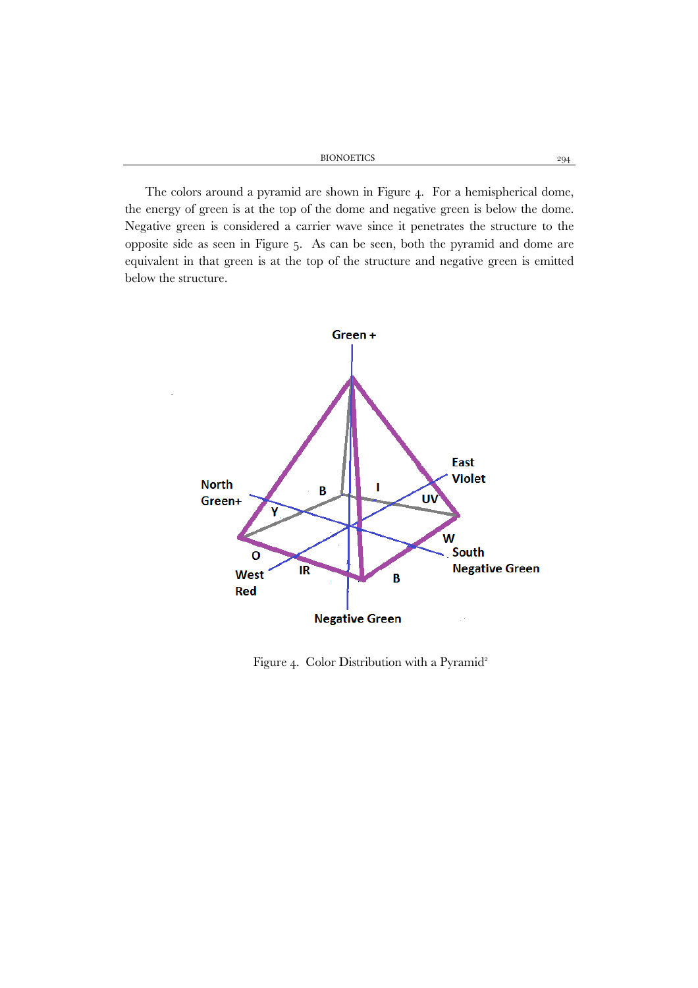BIONOETICS 294

The colors around a pyramid are shown in Figure 4. For a hemispherical dome, the energy of green is at the top of the dome and negative green is below the dome. Negative green is considered a carrier wave since it penetrates the structure to the opposite side as seen in Figure 5. As can be seen, both the pyramid and dome are equivalent in that green is at the top of the structure and negative green is emitted below the structure.



Figure 4. Color Distribution with a Pyramid<sup>2</sup>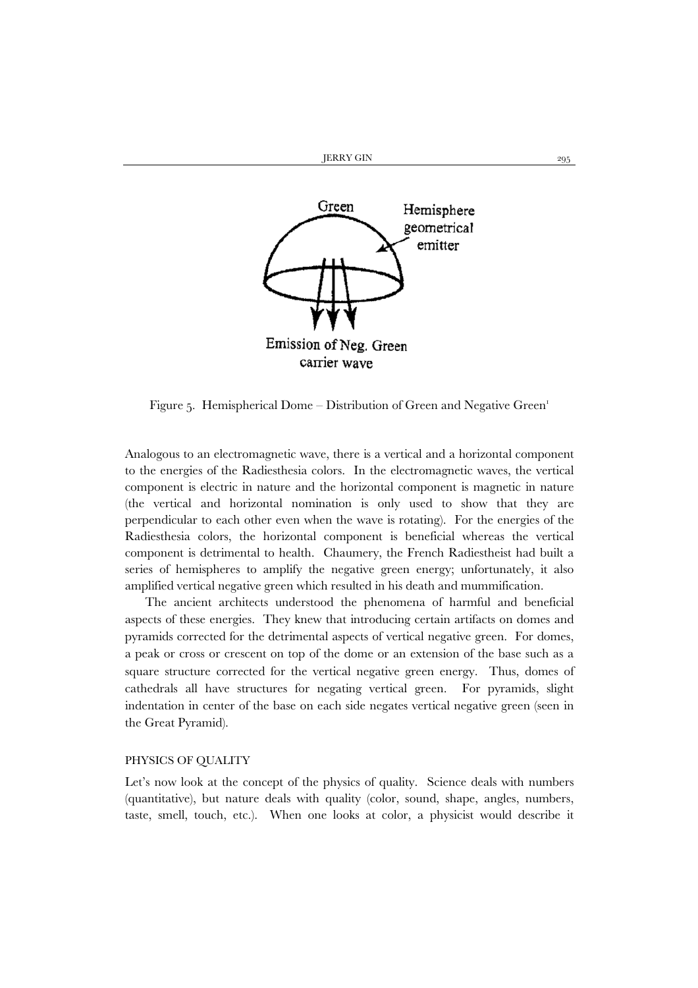

Figure 5. Hemispherical Dome – Distribution of Green and Negative Green<sup>1</sup>

Analogous to an electromagnetic wave, there is a vertical and a horizontal component to the energies of the Radiesthesia colors. In the electromagnetic waves, the vertical component is electric in nature and the horizontal component is magnetic in nature (the vertical and horizontal nomination is only used to show that they are perpendicular to each other even when the wave is rotating). For the energies of the Radiesthesia colors, the horizontal component is beneficial whereas the vertical component is detrimental to health. Chaumery, the French Radiestheist had built a series of hemispheres to amplify the negative green energy; unfortunately, it also amplified vertical negative green which resulted in his death and mummification.

The ancient architects understood the phenomena of harmful and beneficial aspects of these energies. They knew that introducing certain artifacts on domes and pyramids corrected for the detrimental aspects of vertical negative green. For domes, a peak or cross or crescent on top of the dome or an extension of the base such as a square structure corrected for the vertical negative green energy. Thus, domes of cathedrals all have structures for negating vertical green. For pyramids, slight indentation in center of the base on each side negates vertical negative green (seen in the Great Pyramid).

#### PHYSICS OF QUALITY

Let's now look at the concept of the physics of quality. Science deals with numbers (quantitative), but nature deals with quality (color, sound, shape, angles, numbers, taste, smell, touch, etc.). When one looks at color, a physicist would describe it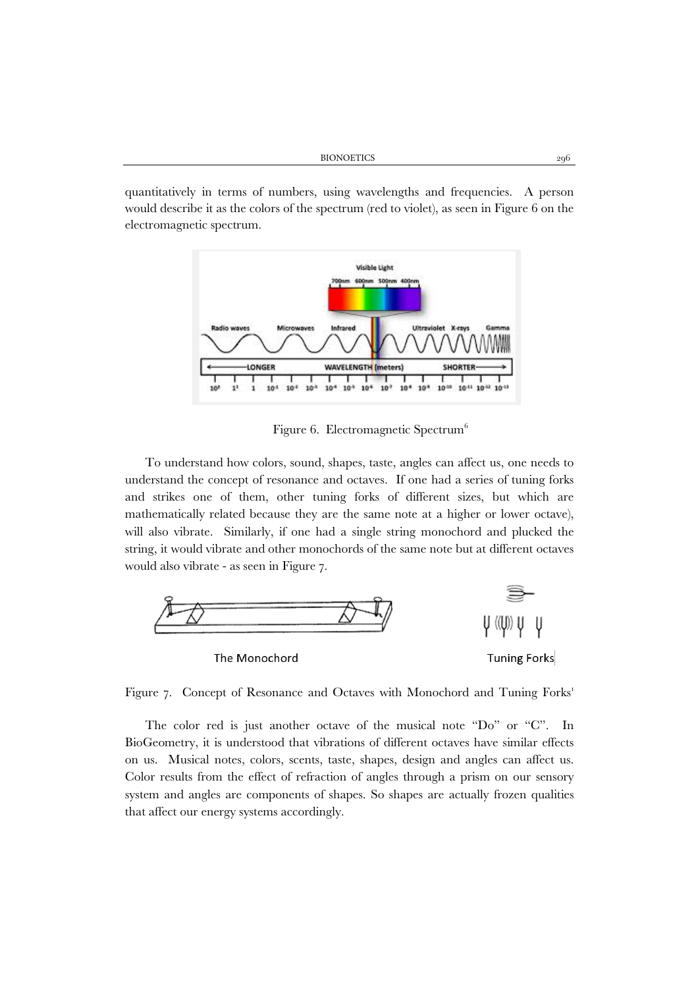quantitatively in terms of numbers, using wavelengths and frequencies. A person would describe it as the colors of the spectrum (red to violet), as seen in Figure 6 on the electromagnetic spectrum.



Figure 6. Electromagnetic Spectrum<sup>6</sup>

To understand how colors, sound, shapes, taste, angles can affect us, one needs to understand the concept of resonance and octaves. If one had a series of tuning forks and strikes one of them, other tuning forks of different sizes, but which are mathematically related because they are the same note at a higher or lower octave), will also vibrate. Similarly, if one had a single string monochord and plucked the string, it would vibrate and other monochords of the same note but at different octaves would also vibrate - as seen in Figure 7.



Figure 7. Concept of Resonance and Octaves with Monochord and Tuning Forks<sup>1</sup>

The color red is just another octave of the musical note "Do" or "C". In BioGeometry, it is understood that vibrations of different octaves have similar effects on us. Musical notes, colors, scents, taste, shapes, design and angles can affect us. Color results from the effect of refraction of angles through a prism on our sensory system and angles are components of shapes. So shapes are actually frozen qualities that affect our energy systems accordingly.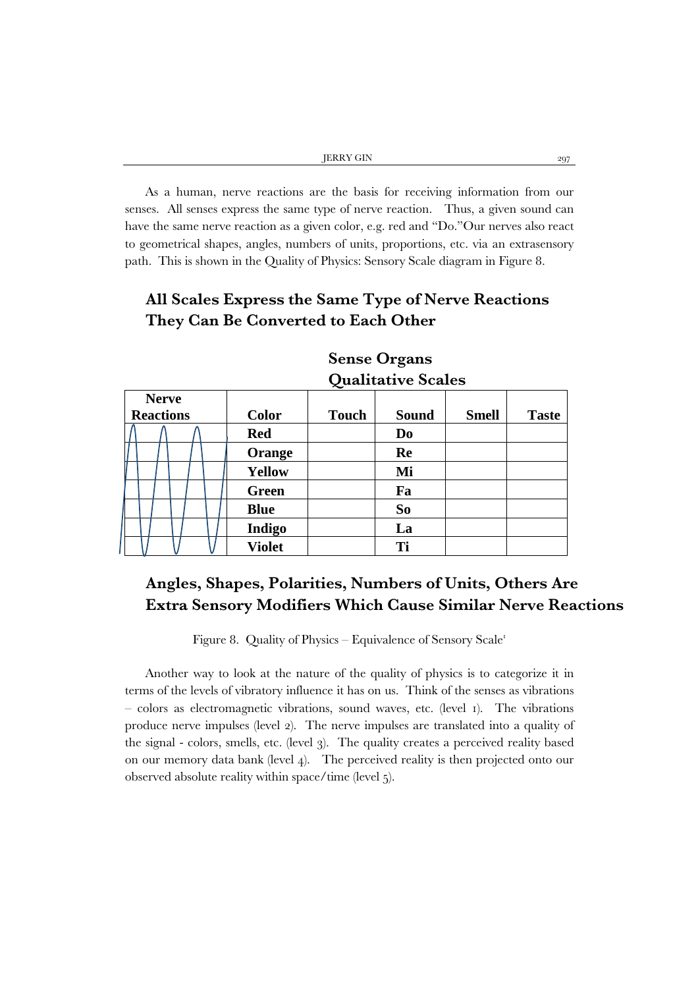| JERRY GIN |  |
|-----------|--|
|           |  |

As a human, nerve reactions are the basis for receiving information from our senses. All senses express the same type of nerve reaction. Thus, a given sound can have the same nerve reaction as a given color, e.g. red and "Do."Our nerves also react to geometrical shapes, angles, numbers of units, proportions, etc. via an extrasensory path. This is shown in the Quality of Physics: Sensory Scale diagram in Figure 8.

# **All Scales Express the Same Type of Nerve Reactions They Can Be Converted to Each Other**

|                  | $\chi$ where $\chi$ is the state $\sim$ |  |  |  |  |               |              |              |              |              |
|------------------|-----------------------------------------|--|--|--|--|---------------|--------------|--------------|--------------|--------------|
|                  | <b>Nerve</b>                            |  |  |  |  |               |              |              |              |              |
| <b>Reactions</b> |                                         |  |  |  |  | <b>Color</b>  | <b>Touch</b> | <b>Sound</b> | <b>Smell</b> | <b>Taste</b> |
|                  |                                         |  |  |  |  | <b>Red</b>    |              | Do           |              |              |
|                  |                                         |  |  |  |  | Orange        |              | Re           |              |              |
|                  |                                         |  |  |  |  | <b>Yellow</b> |              | Mi           |              |              |
|                  |                                         |  |  |  |  | <b>Green</b>  |              | Fa           |              |              |
|                  |                                         |  |  |  |  | <b>Blue</b>   |              | So           |              |              |
|                  |                                         |  |  |  |  | Indigo        |              | La           |              |              |
|                  |                                         |  |  |  |  | <b>Violet</b> |              | Ti           |              |              |

# **Sense Organs Qualitative Scales**

# **Angles, Shapes, Polarities, Numbers of Units, Others Are Extra Sensory Modifiers Which Cause Similar Nerve Reactions**

Figure 8. Quality of Physics – Equivalence of Sensory Scale<sup>1</sup>

Another way to look at the nature of the quality of physics is to categorize it in terms of the levels of vibratory influence it has on us. Think of the senses as vibrations – colors as electromagnetic vibrations, sound waves, etc. (level 1). The vibrations produce nerve impulses (level 2). The nerve impulses are translated into a quality of the signal - colors, smells, etc. (level 3). The quality creates a perceived reality based on our memory data bank (level 4). The perceived reality is then projected onto our observed absolute reality within space/time (level 5).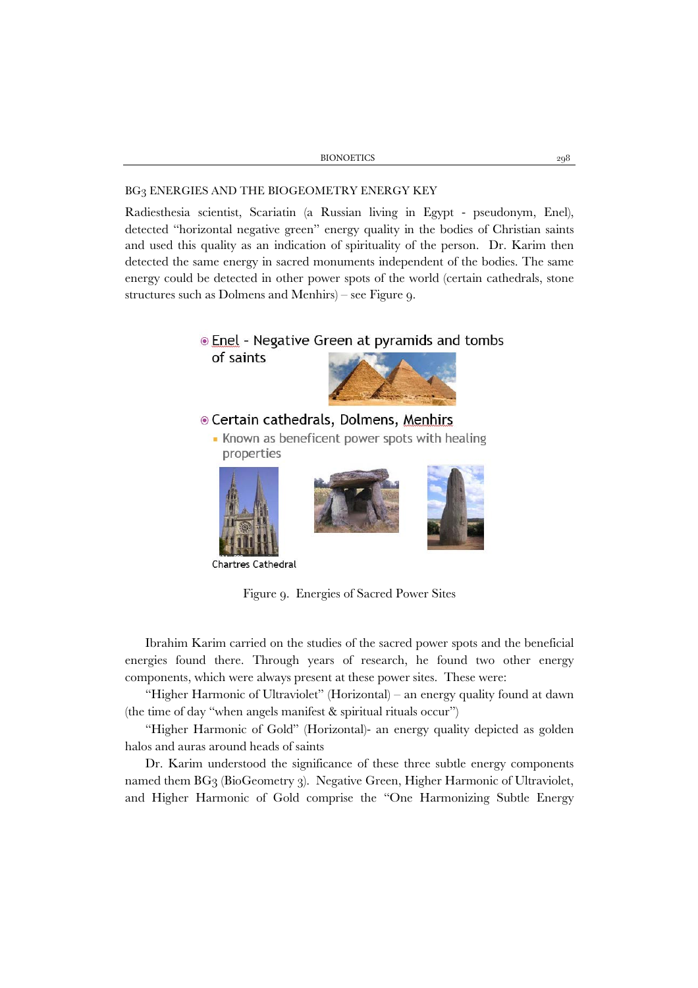#### BG3 ENERGIES AND THE BIOGEOMETRY ENERGY KEY

Radiesthesia scientist, Scariatin (a Russian living in Egypt - pseudonym, Enel), detected "horizontal negative green" energy quality in the bodies of Christian saints and used this quality as an indication of spirituality of the person. Dr. Karim then detected the same energy in sacred monuments independent of the bodies. The same energy could be detected in other power spots of the world (certain cathedrals, stone structures such as Dolmens and Menhirs) – see Figure 9.

# **Enel** - Negative Green at pyramids and tombs of saints

## © Certain cathedrals, Dolmens, Menhirs

• Known as beneficent power spots with healing properties







**Chartres Cathedral** 

Figure 9. Energies of Sacred Power Sites

Ibrahim Karim carried on the studies of the sacred power spots and the beneficial energies found there. Through years of research, he found two other energy components, which were always present at these power sites. These were:

"Higher Harmonic of Ultraviolet" (Horizontal) – an energy quality found at dawn (the time of day "when angels manifest & spiritual rituals occur")

"Higher Harmonic of Gold" (Horizontal)- an energy quality depicted as golden halos and auras around heads of saints

Dr. Karim understood the significance of these three subtle energy components named them BG3 (BioGeometry 3). Negative Green, Higher Harmonic of Ultraviolet, and Higher Harmonic of Gold comprise the "One Harmonizing Subtle Energy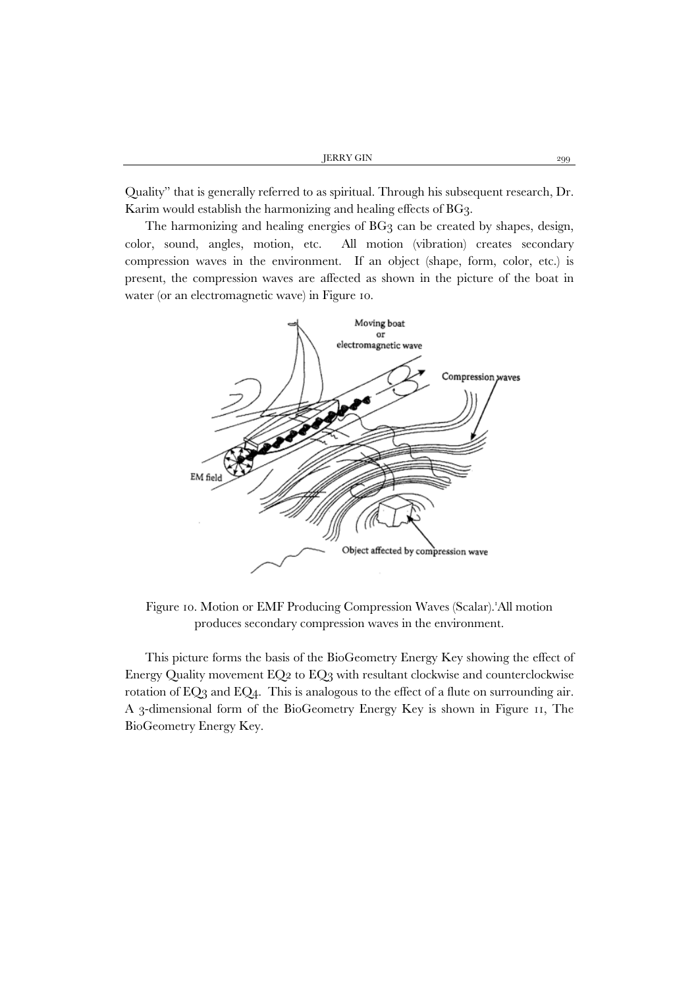Quality" that is generally referred to as spiritual. Through his subsequent research, Dr. Karim would establish the harmonizing and healing effects of BG3.

The harmonizing and healing energies of BG3 can be created by shapes, design, color, sound, angles, motion, etc. All motion (vibration) creates secondary compression waves in the environment. If an object (shape, form, color, etc.) is present, the compression waves are affected as shown in the picture of the boat in water (or an electromagnetic wave) in Figure 10.



Figure 10. Motion or EMF Producing Compression Waves (Scalar).'All motion produces secondary compression waves in the environment.

This picture forms the basis of the BioGeometry Energy Key showing the effect of Energy Quality movement EQ2 to EQ3 with resultant clockwise and counterclockwise rotation of EQ3 and EQ4. This is analogous to the effect of a flute on surrounding air. A 3-dimensional form of the BioGeometry Energy Key is shown in Figure 11, The BioGeometry Energy Key.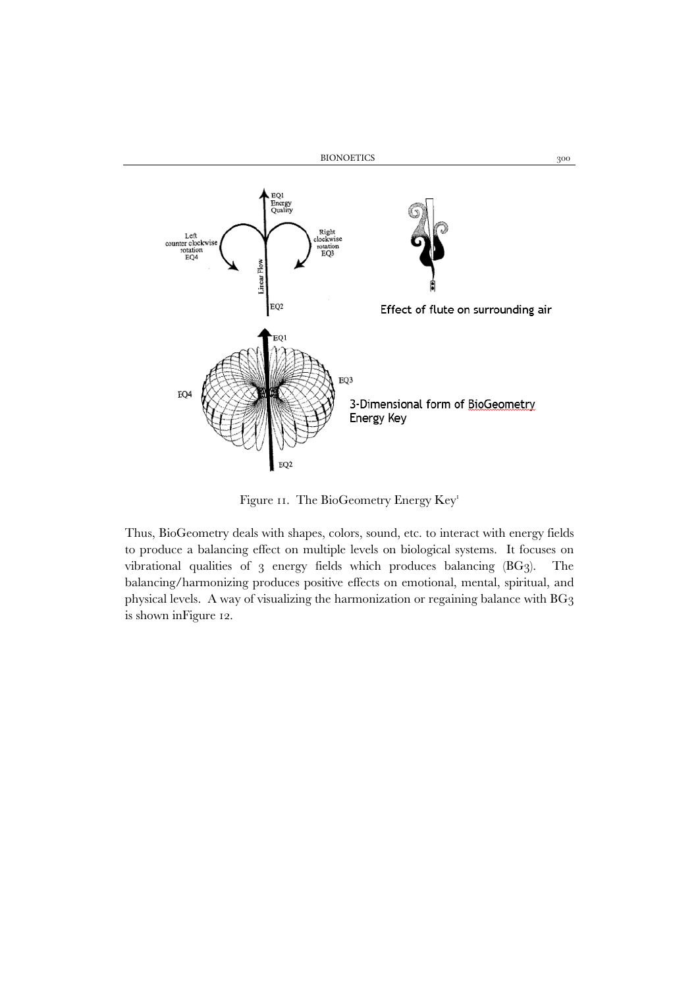

Figure 11. The BioGeometry Energy Key<sup>1</sup>

Thus, BioGeometry deals with shapes, colors, sound, etc. to interact with energy fields to produce a balancing effect on multiple levels on biological systems. It focuses on vibrational qualities of 3 energy fields which produces balancing (BG3). The balancing/harmonizing produces positive effects on emotional, mental, spiritual, and physical levels. A way of visualizing the harmonization or regaining balance with BG3 is shown inFigure 12.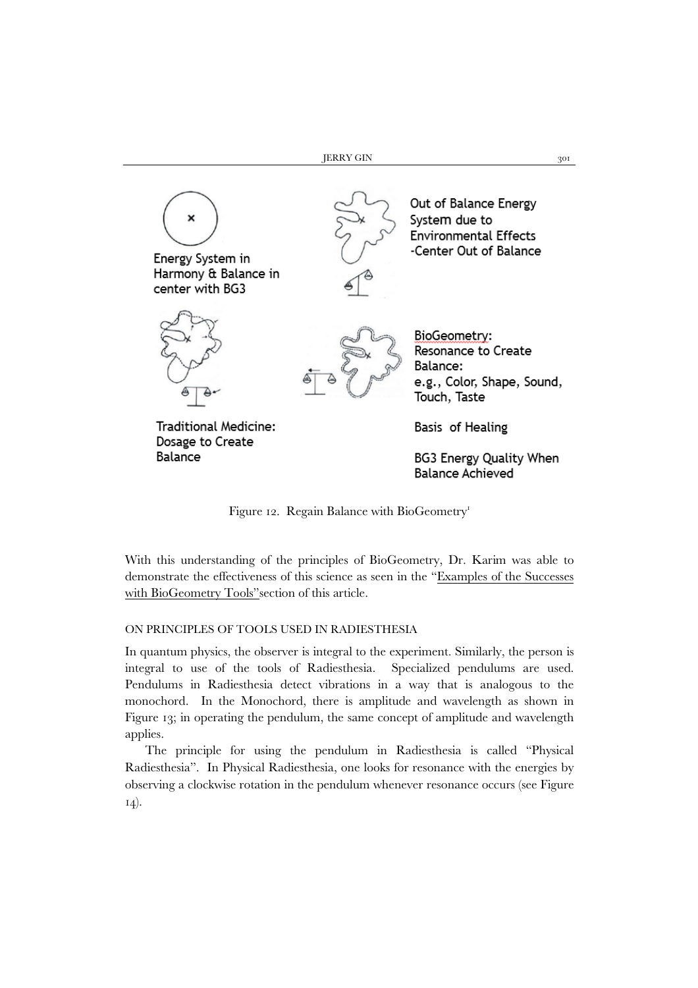

Figure 12. Regain Balance with BioGeometry<sup>1</sup>

With this understanding of the principles of BioGeometry, Dr. Karim was able to demonstrate the effectiveness of this science as seen in the "Examples of the Successes with BioGeometry Tools"section of this article.

### ON PRINCIPLES OF TOOLS USED IN RADIESTHESIA

In quantum physics, the observer is integral to the experiment. Similarly, the person is integral to use of the tools of Radiesthesia. Specialized pendulums are used. Pendulums in Radiesthesia detect vibrations in a way that is analogous to the monochord. In the Monochord, there is amplitude and wavelength as shown in Figure 13; in operating the pendulum, the same concept of amplitude and wavelength applies.

The principle for using the pendulum in Radiesthesia is called "Physical Radiesthesia". In Physical Radiesthesia, one looks for resonance with the energies by observing a clockwise rotation in the pendulum whenever resonance occurs (see Figure 14).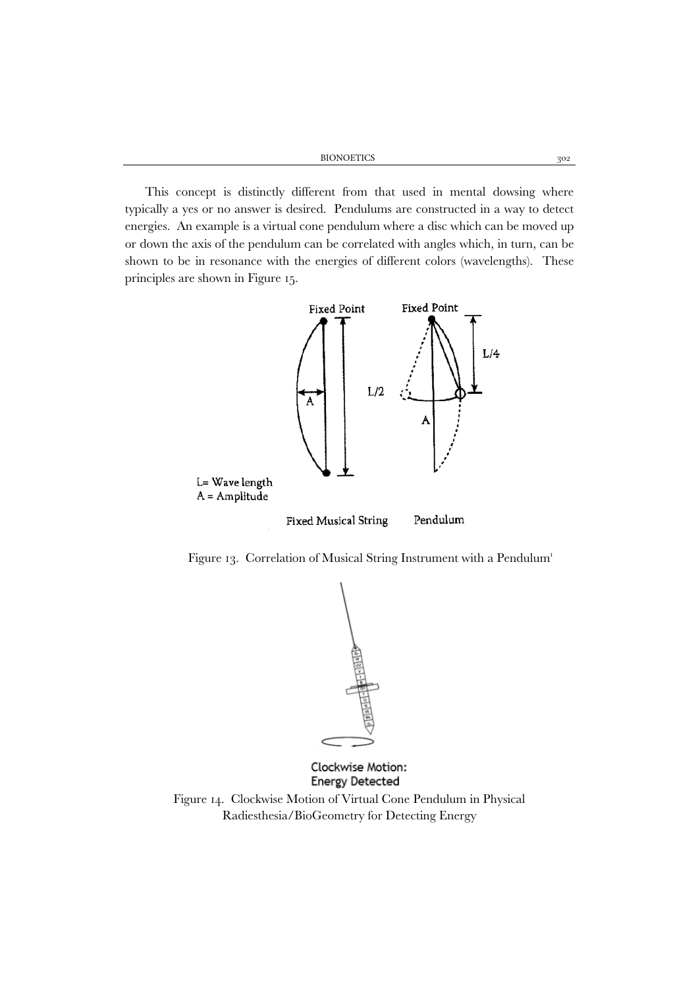BIONOETICS 302

This concept is distinctly different from that used in mental dowsing where typically a yes or no answer is desired. Pendulums are constructed in a way to detect energies. An example is a virtual cone pendulum where a disc which can be moved up or down the axis of the pendulum can be correlated with angles which, in turn, can be shown to be in resonance with the energies of different colors (wavelengths). These principles are shown in Figure 15.







Clockwise Motion: **Energy Detected** 

Figure 14. Clockwise Motion of Virtual Cone Pendulum in Physical Radiesthesia/BioGeometry for Detecting Energy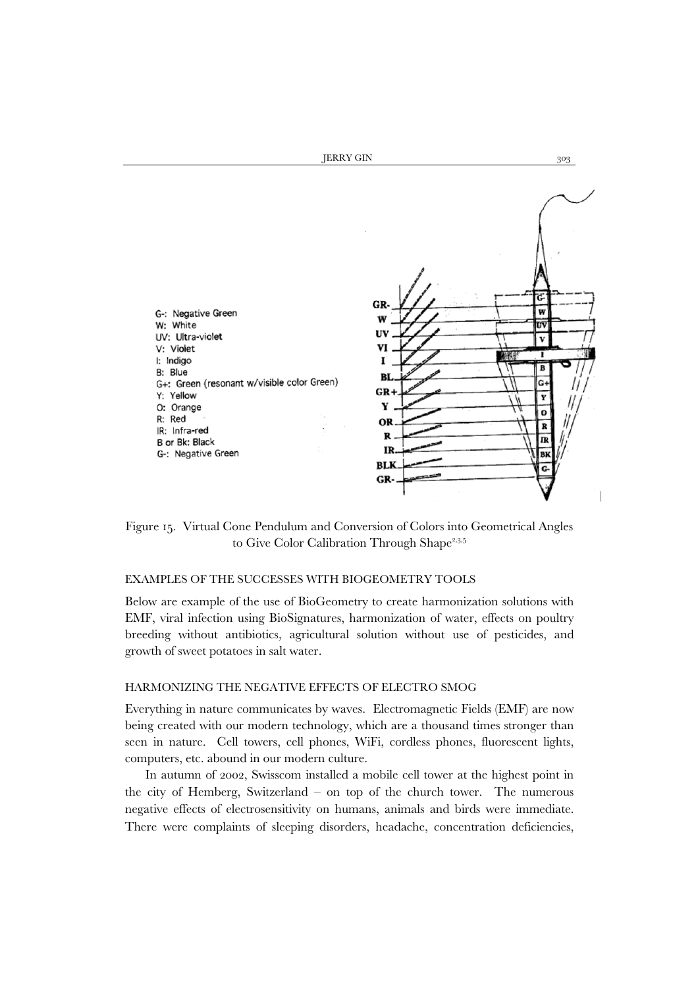

Figure 15. Virtual Cone Pendulum and Conversion of Colors into Geometrical Angles to Give Color Calibration Through Shape<sup>2,3,5</sup>

## EXAMPLES OF THE SUCCESSES WITH BIOGEOMETRY TOOLS

Below are example of the use of BioGeometry to create harmonization solutions with EMF, viral infection using BioSignatures, harmonization of water, effects on poultry breeding without antibiotics, agricultural solution without use of pesticides, and growth of sweet potatoes in salt water.

#### HARMONIZING THE NEGATIVE EFFECTS OF ELECTRO SMOG

Everything in nature communicates by waves. Electromagnetic Fields (EMF) are now being created with our modern technology, which are a thousand times stronger than seen in nature. Cell towers, cell phones, WiFi, cordless phones, fluorescent lights, computers, etc. abound in our modern culture.

In autumn of 2002, Swisscom installed a mobile cell tower at the highest point in the city of Hemberg, Switzerland – on top of the church tower. The numerous negative effects of electrosensitivity on humans, animals and birds were immediate. There were complaints of sleeping disorders, headache, concentration deficiencies,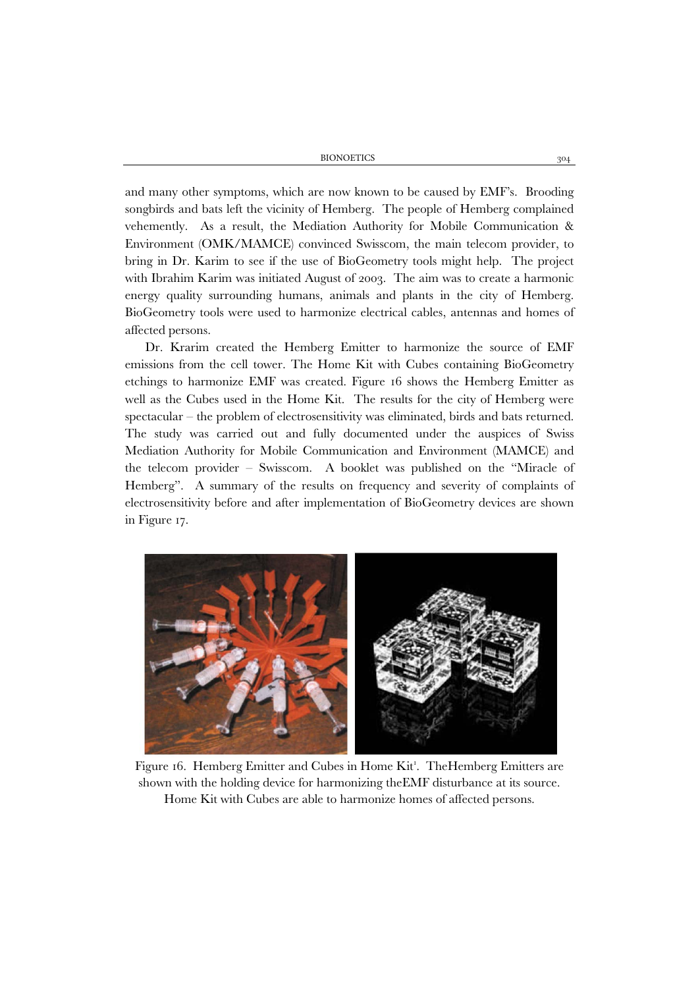BIONOETICS 304

and many other symptoms, which are now known to be caused by EMF's. Brooding songbirds and bats left the vicinity of Hemberg. The people of Hemberg complained vehemently. As a result, the Mediation Authority for Mobile Communication & Environment (OMK/MAMCE) convinced Swisscom, the main telecom provider, to bring in Dr. Karim to see if the use of BioGeometry tools might help. The project with Ibrahim Karim was initiated August of 2003. The aim was to create a harmonic energy quality surrounding humans, animals and plants in the city of Hemberg. BioGeometry tools were used to harmonize electrical cables, antennas and homes of affected persons.

Dr. Krarim created the Hemberg Emitter to harmonize the source of EMF emissions from the cell tower. The Home Kit with Cubes containing BioGeometry etchings to harmonize EMF was created. Figure 16 shows the Hemberg Emitter as well as the Cubes used in the Home Kit. The results for the city of Hemberg were spectacular – the problem of electrosensitivity was eliminated, birds and bats returned. The study was carried out and fully documented under the auspices of Swiss Mediation Authority for Mobile Communication and Environment (MAMCE) and the telecom provider – Swisscom. A booklet was published on the "Miracle of Hemberg". A summary of the results on frequency and severity of complaints of electrosensitivity before and after implementation of BioGeometry devices are shown in Figure 17.



Figure 16. Hemberg Emitter and Cubes in Home Kit'. The Hemberg Emitters are shown with the holding device for harmonizing theEMF disturbance at its source. Home Kit with Cubes are able to harmonize homes of affected persons.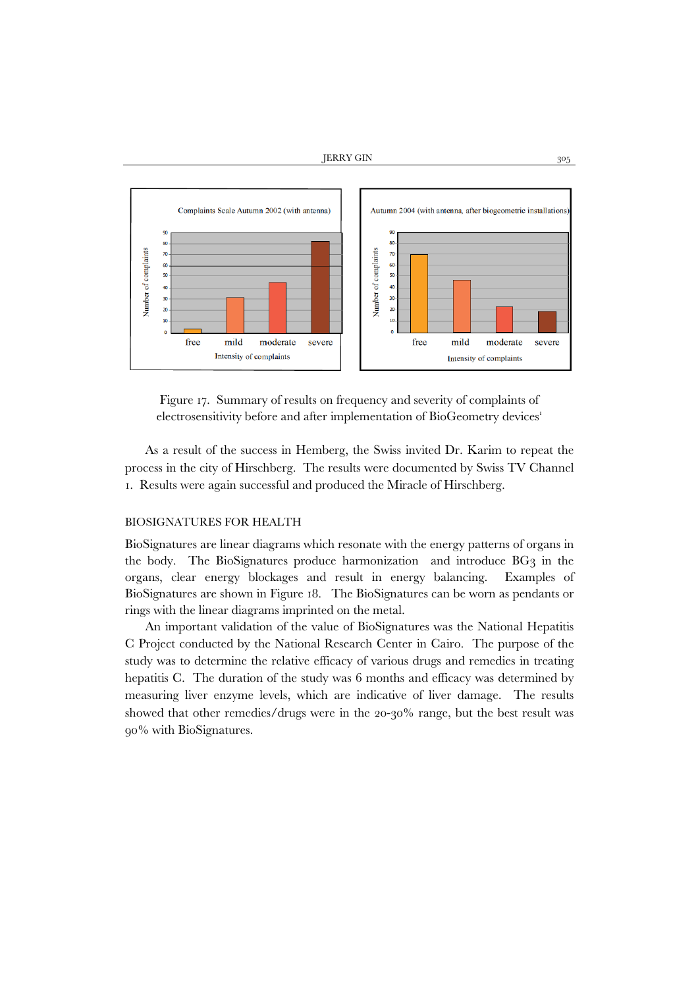

Figure 17. Summary of results on frequency and severity of complaints of electrosensitivity before and after implementation of BioGeometry devices<sup>1</sup>

As a result of the success in Hemberg, the Swiss invited Dr. Karim to repeat the process in the city of Hirschberg. The results were documented by Swiss TV Channel 1. Results were again successful and produced the Miracle of Hirschberg.

## BIOSIGNATURES FOR HEALTH

BioSignatures are linear diagrams which resonate with the energy patterns of organs in the body. The BioSignatures produce harmonization and introduce BG3 in the organs, clear energy blockages and result in energy balancing. Examples of BioSignatures are shown in Figure 18. The BioSignatures can be worn as pendants or rings with the linear diagrams imprinted on the metal.

An important validation of the value of BioSignatures was the National Hepatitis C Project conducted by the National Research Center in Cairo. The purpose of the study was to determine the relative efficacy of various drugs and remedies in treating hepatitis C. The duration of the study was 6 months and efficacy was determined by measuring liver enzyme levels, which are indicative of liver damage. The results showed that other remedies/drugs were in the 20-30% range, but the best result was 90% with BioSignatures.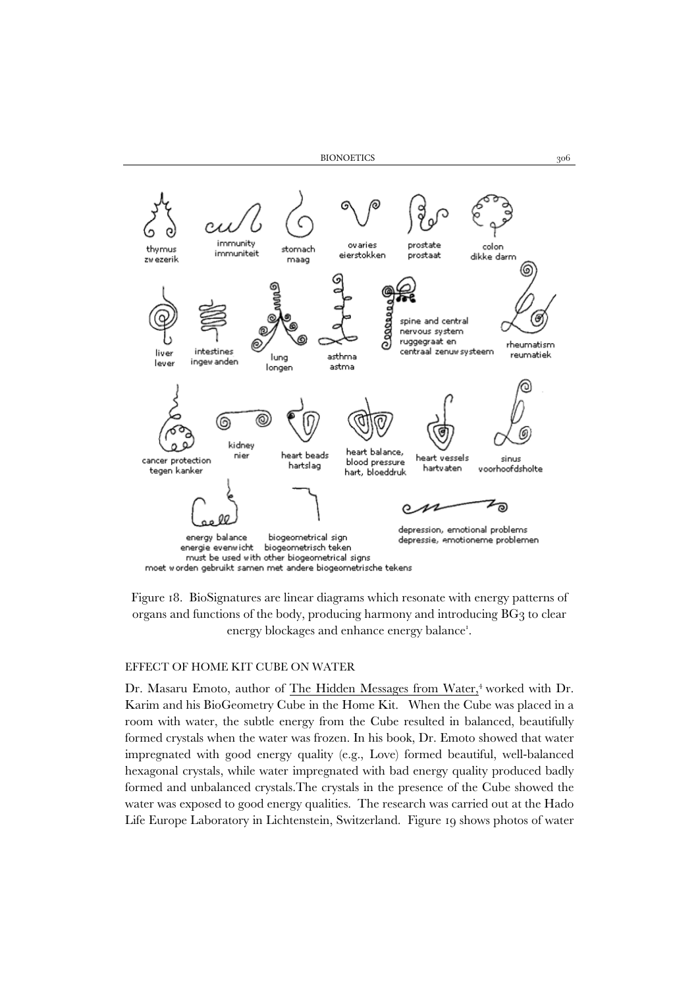

Figure 18. BioSignatures are linear diagrams which resonate with energy patterns of organs and functions of the body, producing harmony and introducing BG3 to clear energy blockages and enhance energy balance<sup>1</sup>.

#### EFFECT OF HOME KIT CUBE ON WATER

Dr. Masaru Emoto, author of The Hidden Messages from Water,<sup>4</sup> worked with Dr. Karim and his BioGeometry Cube in the Home Kit. When the Cube was placed in a room with water, the subtle energy from the Cube resulted in balanced, beautifully formed crystals when the water was frozen. In his book, Dr. Emoto showed that water impregnated with good energy quality (e.g., Love) formed beautiful, well-balanced hexagonal crystals, while water impregnated with bad energy quality produced badly formed and unbalanced crystals.The crystals in the presence of the Cube showed the water was exposed to good energy qualities. The research was carried out at the Hado Life Europe Laboratory in Lichtenstein, Switzerland. Figure 19 shows photos of water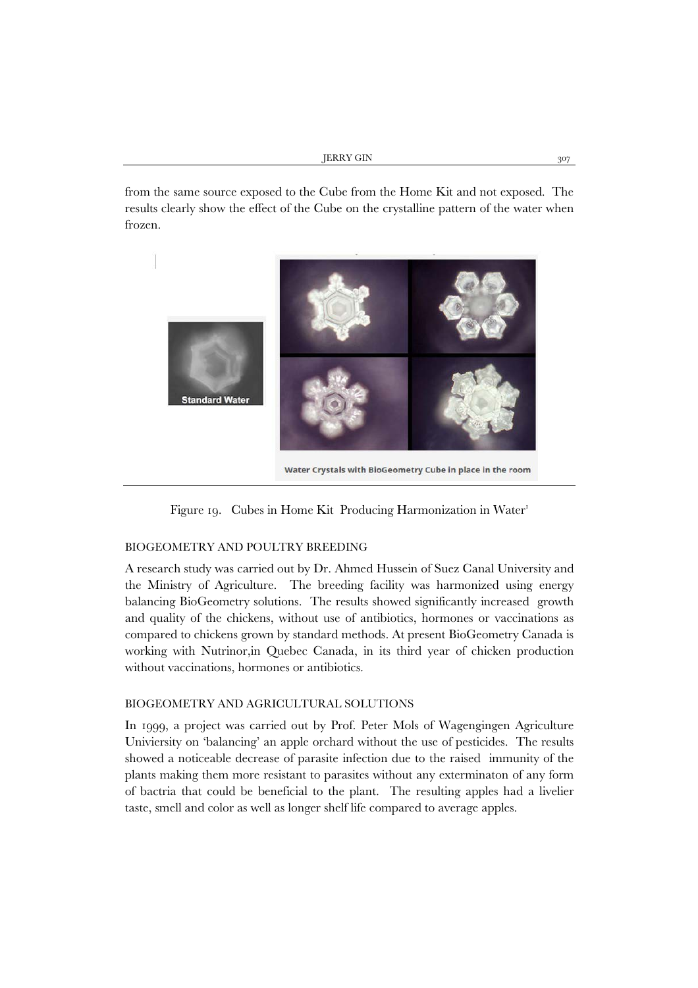from the same source exposed to the Cube from the Home Kit and not exposed. The results clearly show the effect of the Cube on the crystalline pattern of the water when frozen.





#### BIOGEOMETRY AND POULTRY BREEDING

A research study was carried out by Dr. Ahmed Hussein of Suez Canal University and the Ministry of Agriculture. The breeding facility was harmonized using energy balancing BioGeometry solutions. The results showed significantly increased growth and quality of the chickens, without use of antibiotics, hormones or vaccinations as compared to chickens grown by standard methods. At present BioGeometry Canada is working with Nutrinor,in Quebec Canada, in its third year of chicken production without vaccinations, hormones or antibiotics.

### BIOGEOMETRY AND AGRICULTURAL SOLUTIONS

In 1999, a project was carried out by Prof. Peter Mols of Wagengingen Agriculture Univiersity on 'balancing' an apple orchard without the use of pesticides. The results showed a noticeable decrease of parasite infection due to the raised immunity of the plants making them more resistant to parasites without any exterminaton of any form of bactria that could be beneficial to the plant. The resulting apples had a livelier taste, smell and color as well as longer shelf life compared to average apples.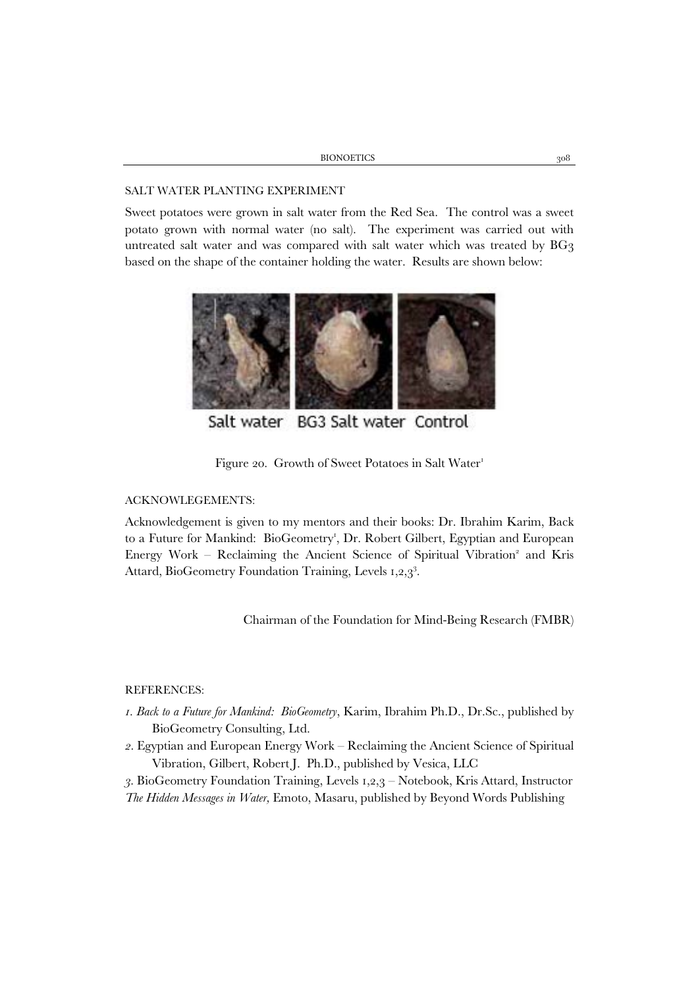| BIONOETICS |  |
|------------|--|
|            |  |

#### SALT WATER PLANTING EXPERIMENT

Sweet potatoes were grown in salt water from the Red Sea. The control was a sweet potato grown with normal water (no salt). The experiment was carried out with untreated salt water and was compared with salt water which was treated by BG3 based on the shape of the container holding the water. Results are shown below:



Salt water BG3 Salt water Control

Figure 20. Growth of Sweet Potatoes in Salt Water<sup>1</sup>

### ACKNOWLEGEMENTS:

Acknowledgement is given to my mentors and their books: Dr. Ibrahim Karim, Back to a Future for Mankind: BioGeometry<sup>1</sup>, Dr. Robert Gilbert, Egyptian and European Energy Work – Reclaiming the Ancient Science of Spiritual Vibration<sup>2</sup> and Kris Attard, BioGeometry Foundation Training, Levels 1,2,3<sup>3</sup>.

Chairman of the Foundation for Mind-Being Research (FMBR)

## REFERENCES:

- *1. Back to a Future for Mankind: BioGeometry*, Karim, Ibrahim Ph.D., Dr.Sc., published by BioGeometry Consulting, Ltd.
- *2.* Egyptian and European Energy Work Reclaiming the Ancient Science of Spiritual Vibration, Gilbert, Robert J. Ph.D., published by Vesica, LLC

*3.* BioGeometry Foundation Training, Levels 1,2,3 – Notebook, Kris Attard, Instructor *The Hidden Messages in Water,* Emoto, Masaru, published by Beyond Words Publishing